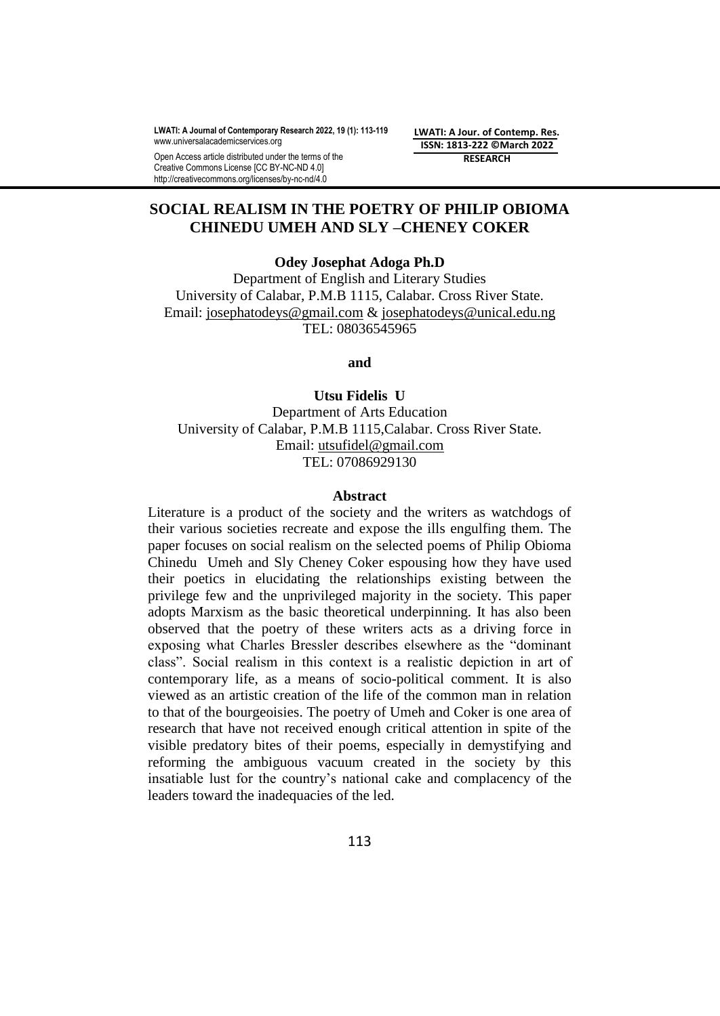**LWATI: A Journal of Contemporary Research 2022, 19 (1): 113-119** www.universalacademicservices.org Open Access article distributed under the terms of the

Creative Commons License [CC BY-NC-ND 4.0] http://creativecommons.org/licenses/by-nc-nd/4.0 **LWATI: A Jour. of Contemp. Res. ISSN: 1813-222 ©March 2022 RESEARCH**

# **SOCIAL REALISM IN THE POETRY OF PHILIP OBIOMA CHINEDU UMEH AND SLY –CHENEY COKER**

**Odey Josephat Adoga Ph.D**

Department of English and Literary Studies University of Calabar, P.M.B 1115, Calabar. Cross River State. Email: [josephatodeys@gmail.com](mailto:josephatodeys@gmail.com) & [josephatodeys@unical.edu.ng](mailto:josephatodeys@unical.edu.ng) TEL: 08036545965

**and** 

#### **Utsu Fidelis U**

Department of Arts Education University of Calabar, P.M.B 1115,Calabar. Cross River State. Email: [utsufidel@gmail.com](mailto:utsufidel@gmail.com) TEL: 07086929130

### **Abstract**

Literature is a product of the society and the writers as watchdogs of their various societies recreate and expose the ills engulfing them. The paper focuses on social realism on the selected poems of Philip Obioma Chinedu Umeh and Sly Cheney Coker espousing how they have used their poetics in elucidating the relationships existing between the privilege few and the unprivileged majority in the society. This paper adopts Marxism as the basic theoretical underpinning. It has also been observed that the poetry of these writers acts as a driving force in exposing what Charles Bressler describes elsewhere as the "dominant class". Social realism in this context is a realistic depiction in art of contemporary life, as a means of socio-political comment. It is also viewed as an artistic creation of the life of the common man in relation to that of the bourgeoisies. The poetry of Umeh and Coker is one area of research that have not received enough critical attention in spite of the visible predatory bites of their poems, especially in demystifying and reforming the ambiguous vacuum created in the society by this insatiable lust for the country's national cake and complacency of the leaders toward the inadequacies of the led.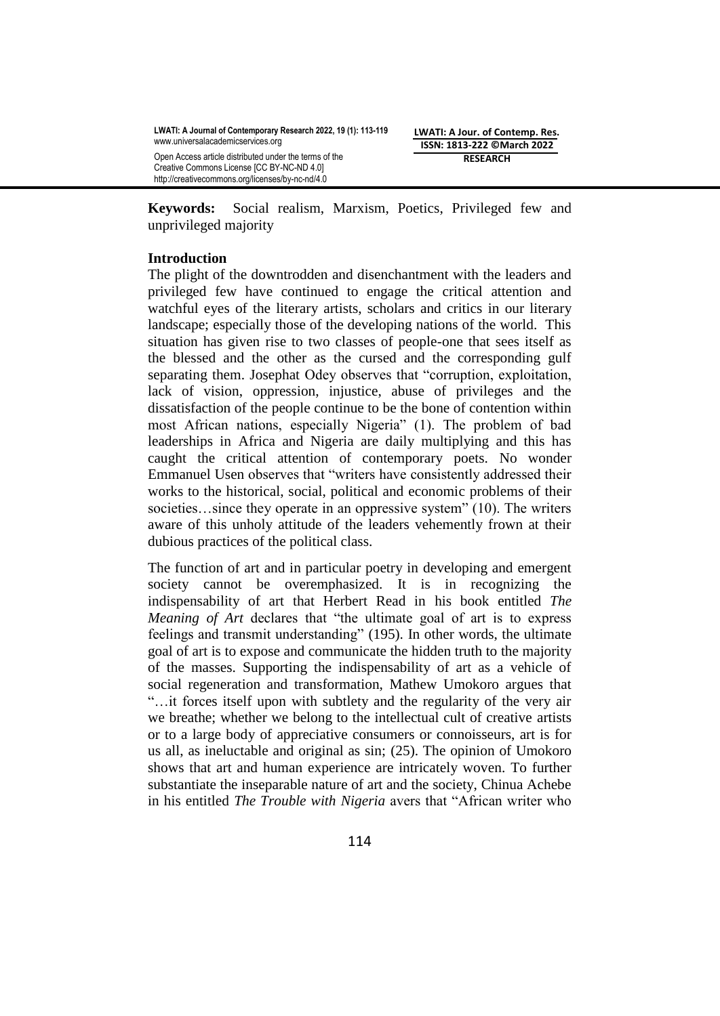**LWATI: A Jour. of Contemp. Res. ISSN: 1813-222 ©March 2022 RESEARCH**

**Keywords:** Social realism, Marxism, Poetics, Privileged few and unprivileged majority

## **Introduction**

The plight of the downtrodden and disenchantment with the leaders and privileged few have continued to engage the critical attention and watchful eyes of the literary artists, scholars and critics in our literary landscape; especially those of the developing nations of the world. This situation has given rise to two classes of people-one that sees itself as the blessed and the other as the cursed and the corresponding gulf separating them. Josephat Odey observes that "corruption, exploitation, lack of vision, oppression, injustice, abuse of privileges and the dissatisfaction of the people continue to be the bone of contention within most African nations, especially Nigeria" (1). The problem of bad leaderships in Africa and Nigeria are daily multiplying and this has caught the critical attention of contemporary poets. No wonder Emmanuel Usen observes that "writers have consistently addressed their works to the historical, social, political and economic problems of their societies...since they operate in an oppressive system" (10). The writers aware of this unholy attitude of the leaders vehemently frown at their dubious practices of the political class.

The function of art and in particular poetry in developing and emergent society cannot be overemphasized. It is in recognizing the indispensability of art that Herbert Read in his book entitled *The Meaning of Art* declares that "the ultimate goal of art is to express feelings and transmit understanding" (195). In other words, the ultimate goal of art is to expose and communicate the hidden truth to the majority of the masses. Supporting the indispensability of art as a vehicle of social regeneration and transformation, Mathew Umokoro argues that "…it forces itself upon with subtlety and the regularity of the very air we breathe; whether we belong to the intellectual cult of creative artists or to a large body of appreciative consumers or connoisseurs, art is for us all, as ineluctable and original as sin; (25). The opinion of Umokoro shows that art and human experience are intricately woven. To further substantiate the inseparable nature of art and the society, Chinua Achebe in his entitled *The Trouble with Nigeria* avers that "African writer who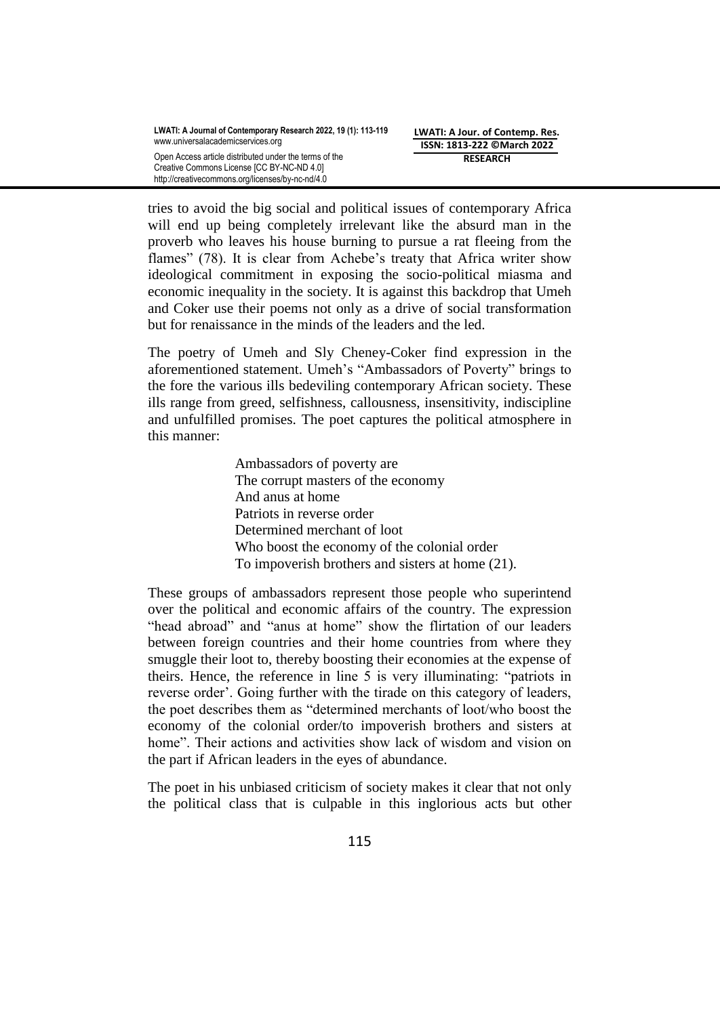tries to avoid the big social and political issues of contemporary Africa will end up being completely irrelevant like the absurd man in the proverb who leaves his house burning to pursue a rat fleeing from the flames" (78). It is clear from Achebe's treaty that Africa writer show ideological commitment in exposing the socio-political miasma and economic inequality in the society. It is against this backdrop that Umeh and Coker use their poems not only as a drive of social transformation but for renaissance in the minds of the leaders and the led.

The poetry of Umeh and Sly Cheney-Coker find expression in the aforementioned statement. Umeh's "Ambassadors of Poverty" brings to the fore the various ills bedeviling contemporary African society. These ills range from greed, selfishness, callousness, insensitivity, indiscipline and unfulfilled promises. The poet captures the political atmosphere in this manner:

> Ambassadors of poverty are The corrupt masters of the economy And anus at home Patriots in reverse order Determined merchant of loot Who boost the economy of the colonial order To impoverish brothers and sisters at home (21).

These groups of ambassadors represent those people who superintend over the political and economic affairs of the country. The expression "head abroad" and "anus at home" show the flirtation of our leaders between foreign countries and their home countries from where they smuggle their loot to, thereby boosting their economies at the expense of theirs. Hence, the reference in line 5 is very illuminating: "patriots in reverse order'. Going further with the tirade on this category of leaders, the poet describes them as "determined merchants of loot/who boost the economy of the colonial order/to impoverish brothers and sisters at home". Their actions and activities show lack of wisdom and vision on the part if African leaders in the eyes of abundance.

The poet in his unbiased criticism of society makes it clear that not only the political class that is culpable in this inglorious acts but other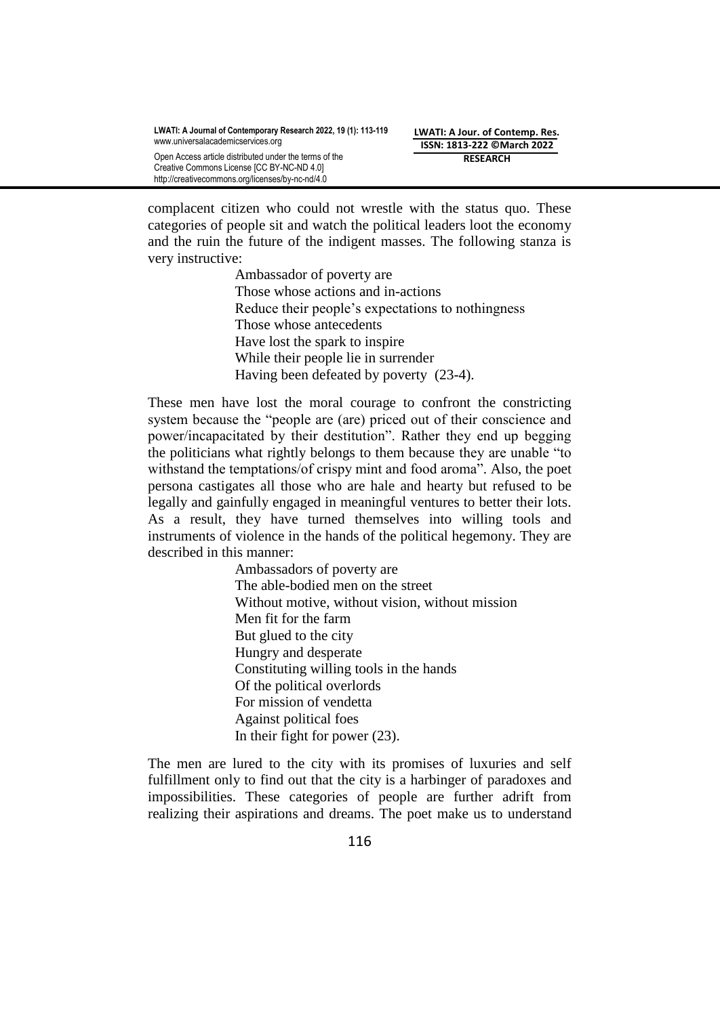complacent citizen who could not wrestle with the status quo. These categories of people sit and watch the political leaders loot the economy and the ruin the future of the indigent masses. The following stanza is very instructive:

> Ambassador of poverty are Those whose actions and in-actions Reduce their people's expectations to nothingness Those whose antecedents Have lost the spark to inspire While their people lie in surrender Having been defeated by poverty (23-4).

These men have lost the moral courage to confront the constricting system because the "people are (are) priced out of their conscience and power/incapacitated by their destitution". Rather they end up begging the politicians what rightly belongs to them because they are unable "to withstand the temptations/of crispy mint and food aroma". Also, the poet persona castigates all those who are hale and hearty but refused to be legally and gainfully engaged in meaningful ventures to better their lots. As a result, they have turned themselves into willing tools and instruments of violence in the hands of the political hegemony. They are described in this manner:

> Ambassadors of poverty are The able-bodied men on the street Without motive, without vision, without mission Men fit for the farm But glued to the city Hungry and desperate Constituting willing tools in the hands Of the political overlords For mission of vendetta Against political foes In their fight for power (23).

The men are lured to the city with its promises of luxuries and self fulfillment only to find out that the city is a harbinger of paradoxes and impossibilities. These categories of people are further adrift from realizing their aspirations and dreams. The poet make us to understand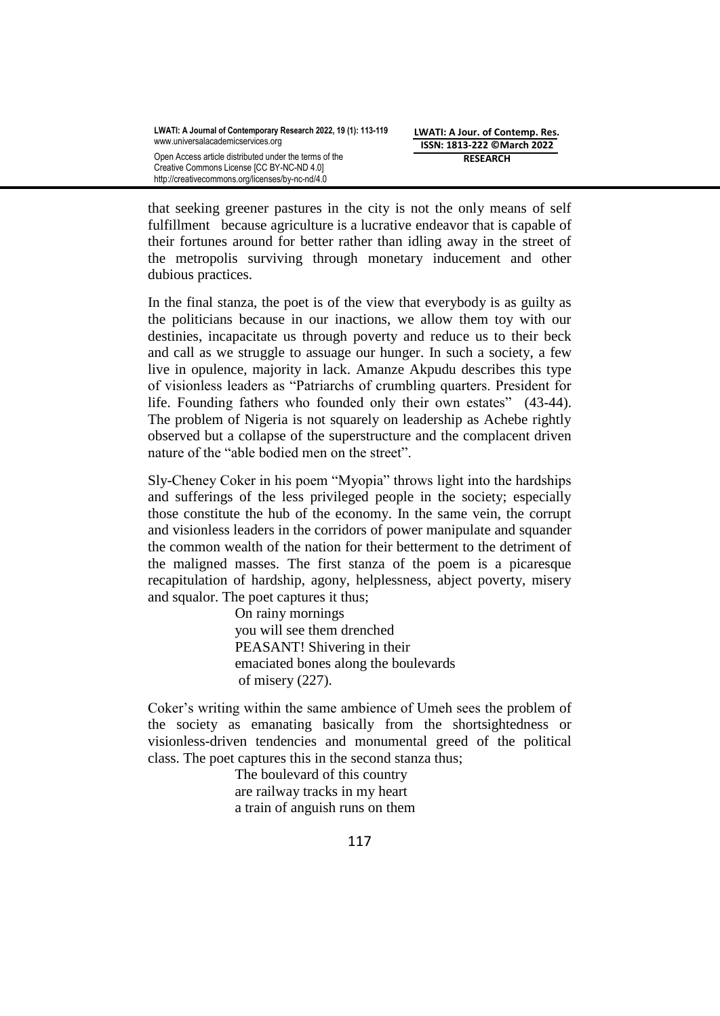**LWATI: A Jour. of Contemp. Res. ISSN: 1813-222 ©March 2022 RESEARCH**

that seeking greener pastures in the city is not the only means of self fulfillment because agriculture is a lucrative endeavor that is capable of their fortunes around for better rather than idling away in the street of the metropolis surviving through monetary inducement and other dubious practices.

In the final stanza, the poet is of the view that everybody is as guilty as the politicians because in our inactions, we allow them toy with our destinies, incapacitate us through poverty and reduce us to their beck and call as we struggle to assuage our hunger. In such a society, a few live in opulence, majority in lack. Amanze Akpudu describes this type of visionless leaders as "Patriarchs of crumbling quarters. President for life. Founding fathers who founded only their own estates" (43-44). The problem of Nigeria is not squarely on leadership as Achebe rightly observed but a collapse of the superstructure and the complacent driven nature of the "able bodied men on the street".

Sly-Cheney Coker in his poem "Myopia" throws light into the hardships and sufferings of the less privileged people in the society; especially those constitute the hub of the economy. In the same vein, the corrupt and visionless leaders in the corridors of power manipulate and squander the common wealth of the nation for their betterment to the detriment of the maligned masses. The first stanza of the poem is a picaresque recapitulation of hardship, agony, helplessness, abject poverty, misery and squalor. The poet captures it thus;

> On rainy mornings you will see them drenched PEASANT! Shivering in their emaciated bones along the boulevards of misery (227).

Coker's writing within the same ambience of Umeh sees the problem of the society as emanating basically from the shortsightedness or visionless-driven tendencies and monumental greed of the political class. The poet captures this in the second stanza thus;

> The boulevard of this country are railway tracks in my heart a train of anguish runs on them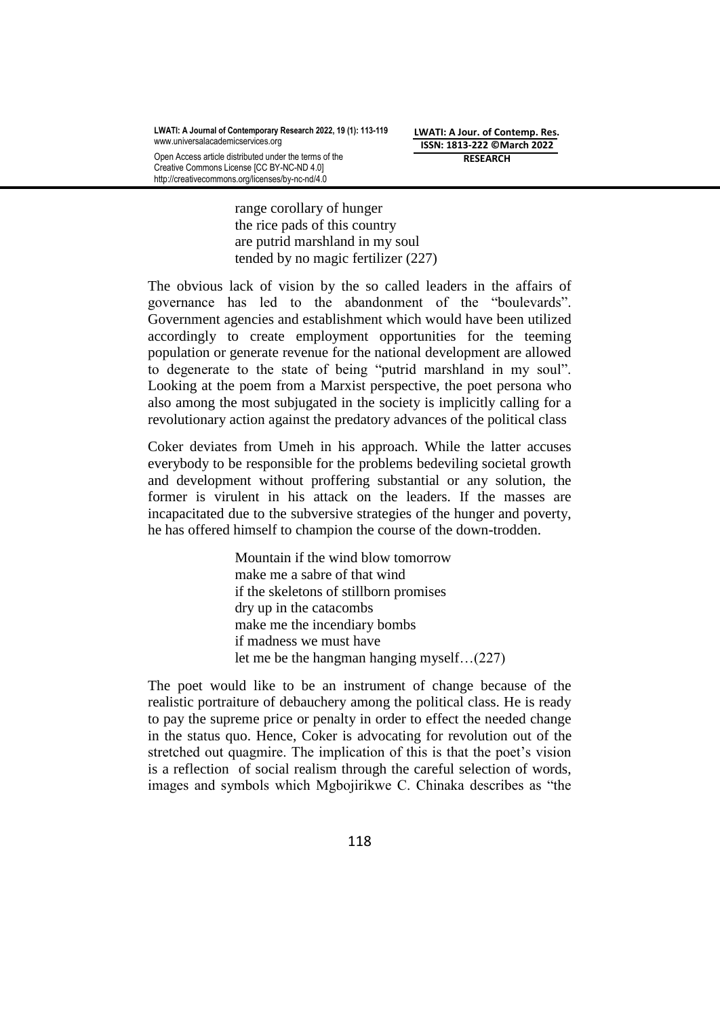http://creativecommons.org/licenses/by-nc-nd/4.0

**LWATI: A Jour. of Contemp. Res. ISSN: 1813-222 ©March 2022 RESEARCH**

range corollary of hunger the rice pads of this country are putrid marshland in my soul tended by no magic fertilizer (227)

The obvious lack of vision by the so called leaders in the affairs of governance has led to the abandonment of the "boulevards". Government agencies and establishment which would have been utilized accordingly to create employment opportunities for the teeming population or generate revenue for the national development are allowed to degenerate to the state of being "putrid marshland in my soul". Looking at the poem from a Marxist perspective, the poet persona who also among the most subjugated in the society is implicitly calling for a revolutionary action against the predatory advances of the political class

Coker deviates from Umeh in his approach. While the latter accuses everybody to be responsible for the problems bedeviling societal growth and development without proffering substantial or any solution, the former is virulent in his attack on the leaders. If the masses are incapacitated due to the subversive strategies of the hunger and poverty, he has offered himself to champion the course of the down-trodden.

> Mountain if the wind blow tomorrow make me a sabre of that wind if the skeletons of stillborn promises dry up in the catacombs make me the incendiary bombs if madness we must have let me be the hangman hanging myself…(227)

The poet would like to be an instrument of change because of the realistic portraiture of debauchery among the political class. He is ready to pay the supreme price or penalty in order to effect the needed change in the status quo. Hence, Coker is advocating for revolution out of the stretched out quagmire. The implication of this is that the poet's vision is a reflection of social realism through the careful selection of words, images and symbols which Mgbojirikwe C. Chinaka describes as "the